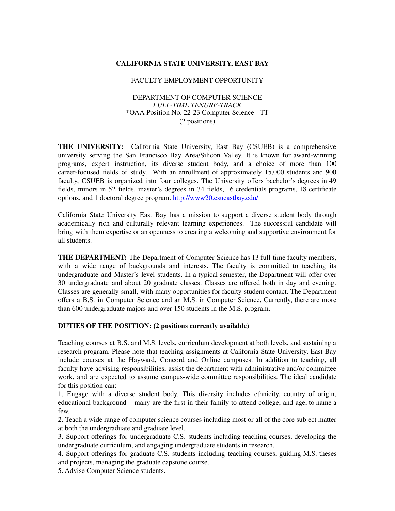## **CALIFORNIA STATE UNIVERSITY, EAST BAY**

#### FACULTY EMPLOYMENT OPPORTUNITY

### DEPARTMENT OF COMPUTER SCIENCE *FULL-TIME TENURE-TRACK* \*OAA Position No. 22-23 Computer Science - TT (2 positions)

**THE UNIVERSITY:** California State University, East Bay (CSUEB) is a comprehensive university serving the San Francisco Bay Area/Silicon Valley. It is known for award-winning programs, expert instruction, its diverse student body, and a choice of more than 100 career-focused fields of study. With an enrollment of approximately 15,000 students and 900 faculty, CSUEB is organized into four colleges. The University offers bachelor's degrees in 49 fields, minors in 52 fields, master's degrees in 34 fields, 16 credentials programs, 18 certificate options, and 1 doctoral degree program. <http://www20.csueastbay.edu/>

California State University East Bay has a mission to support a diverse student body through academically rich and culturally relevant learning experiences. The successful candidate will bring with them expertise or an openness to creating a welcoming and supportive environment for all students.

**THE DEPARTMENT:** The Department of Computer Science has 13 full-time faculty members, with a wide range of backgrounds and interests. The faculty is committed to teaching its undergraduate and Master's level students. In a typical semester, the Department will offer over 30 undergraduate and about 20 graduate classes. Classes are offered both in day and evening. Classes are generally small, with many opportunities for faculty-student contact. The Department offers a B.S. in Computer Science and an M.S. in Computer Science. Currently, there are more than 600 undergraduate majors and over 150 students in the M.S. program.

### **DUTIES OF THE POSITION: (2 positions currently available)**

Teaching courses at B.S. and M.S. levels, curriculum development at both levels, and sustaining a research program. Please note that teaching assignments at California State University, East Bay include courses at the Hayward, Concord and Online campuses. In addition to teaching, all faculty have advising responsibilities, assist the department with administrative and/or committee work, and are expected to assume campus-wide committee responsibilities. The ideal candidate for this position can:

1. Engage with a diverse student body. This diversity includes ethnicity, country of origin, educational background – many are the first in their family to attend college, and age, to name a few.

2. Teach a wide range of computer science courses including most or all of the core subject matter at both the undergraduate and graduate level.

3. Support offerings for undergraduate C.S. students including teaching courses, developing the undergraduate curriculum, and engaging undergraduate students in research.

4. Support offerings for graduate C.S. students including teaching courses, guiding M.S. theses and projects, managing the graduate capstone course.

5. Advise Computer Science students.